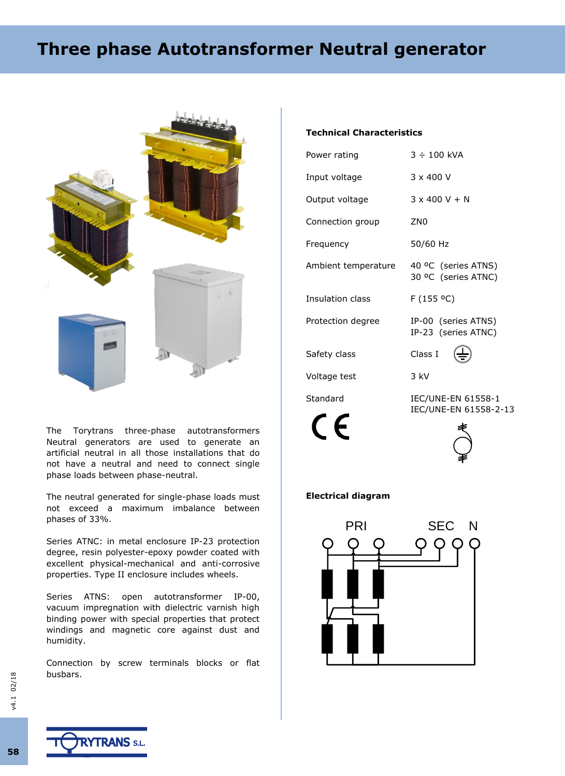# **Three phase Autotransformer Neutral generator**



The Torytrans three-phase autotransformers Neutral generators are used to generate an artificial neutral in all those installations that do not have a neutral and need to connect single phase loads between phase-neutral.

The neutral generated for single-phase loads must not exceed a maximum imbalance between phases of 33%.

Series ATNC: in metal enclosure IP-23 protection degree, resin polyester-epoxy powder coated with excellent physical-mechanical and anti-corrosive properties. Type II enclosure includes wheels.

Series ATNS: open autotransformer IP-00, vacuum impregnation with dielectric varnish high binding power with special properties that protect windings and magnetic core against dust and humidity.

Connection by screw terminals blocks or flat busbars.

### **Technical Characteristics**

| Power rating        | $3 \div 100$ kVA                                   |  |  |  |  |  |
|---------------------|----------------------------------------------------|--|--|--|--|--|
| Input voltage       | $3 \times 400$ V                                   |  |  |  |  |  |
| Output voltage      | $3 \times 400 \text{ V} + \text{N}$                |  |  |  |  |  |
| Connection group    | ZN <sub>0</sub>                                    |  |  |  |  |  |
| Frequency           | 50/60 Hz                                           |  |  |  |  |  |
| Ambient temperature | 40 °C (series ATNS)<br>30 °C (series ATNC)         |  |  |  |  |  |
| Insulation class    | F(155 °C)                                          |  |  |  |  |  |
| Protection degree   | IP-00 (series ATNS)<br>IP-23 (series ATNC)         |  |  |  |  |  |
| Safety class        | Class I                                            |  |  |  |  |  |
| Voltage test        | 3 kV                                               |  |  |  |  |  |
| Standard            | <b>IEC/UNE-EN 61558-1</b><br>IEC/UNE-EN 61558-2-13 |  |  |  |  |  |

#### **Electrical diagram**